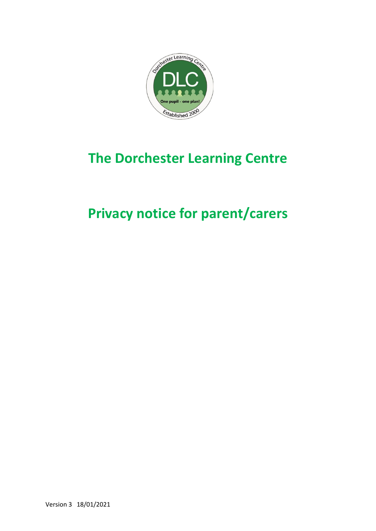

# **The Dorchester Learning Centre**

# **Privacy notice for parent/carers**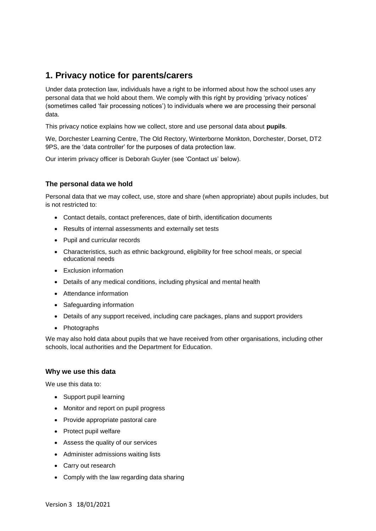# **1. Privacy notice for parents/carers**

Under data protection law, individuals have a right to be informed about how the school uses any personal data that we hold about them. We comply with this right by providing 'privacy notices' (sometimes called 'fair processing notices') to individuals where we are processing their personal data.

This privacy notice explains how we collect, store and use personal data about **pupils**.

We, Dorchester Learning Centre, The Old Rectory, Winterborne Monkton, Dorchester, Dorset, DT2 9PS, are the 'data controller' for the purposes of data protection law.

Our interim privacy officer is Deborah Guyler (see 'Contact us' below).

# **The personal data we hold**

Personal data that we may collect, use, store and share (when appropriate) about pupils includes, but is not restricted to:

- Contact details, contact preferences, date of birth, identification documents
- Results of internal assessments and externally set tests
- Pupil and curricular records
- Characteristics, such as ethnic background, eligibility for free school meals, or special educational needs
- Exclusion information
- Details of any medical conditions, including physical and mental health
- Attendance information
- Safeguarding information
- Details of any support received, including care packages, plans and support providers
- Photographs

We may also hold data about pupils that we have received from other organisations, including other schools, local authorities and the Department for Education.

#### **Why we use this data**

We use this data to:

- Support pupil learning
- Monitor and report on pupil progress
- Provide appropriate pastoral care
- Protect pupil welfare
- Assess the quality of our services
- Administer admissions waiting lists
- Carry out research
- Comply with the law regarding data sharing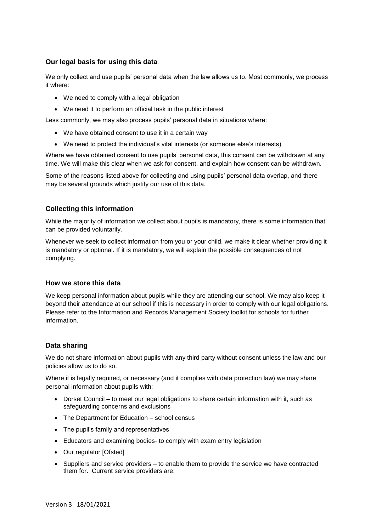# **Our legal basis for using this data***.*

We only collect and use pupils' personal data when the law allows us to. Most commonly, we process it where:

- We need to comply with a legal obligation
- We need it to perform an official task in the public interest

Less commonly, we may also process pupils' personal data in situations where:

- We have obtained consent to use it in a certain way
- We need to protect the individual's vital interests (or someone else's interests)

Where we have obtained consent to use pupils' personal data, this consent can be withdrawn at any time. We will make this clear when we ask for consent, and explain how consent can be withdrawn.

Some of the reasons listed above for collecting and using pupils' personal data overlap, and there may be several grounds which justify our use of this data.

### **Collecting this information**

While the majority of information we collect about pupils is mandatory, there is some information that can be provided voluntarily.

Whenever we seek to collect information from you or your child, we make it clear whether providing it is mandatory or optional. If it is mandatory, we will explain the possible consequences of not complying.

#### **How we store this data**

We keep personal information about pupils while they are attending our school. We may also keep it beyond their attendance at our school if this is necessary in order to comply with our legal obligations. Please refer to the Information and Records Management Society toolkit for schools for further information.

#### **Data sharing**

We do not share information about pupils with any third party without consent unless the law and our policies allow us to do so.

Where it is legally required, or necessary (and it complies with data protection law) we may share personal information about pupils with:

- Dorset Council to meet our legal obligations to share certain information with it, such as safeguarding concerns and exclusions
- The Department for Education school census
- The pupil's family and representatives
- Educators and examining bodies- to comply with exam entry legislation
- Our regulator [Ofsted]
- Suppliers and service providers to enable them to provide the service we have contracted them for. Current service providers are: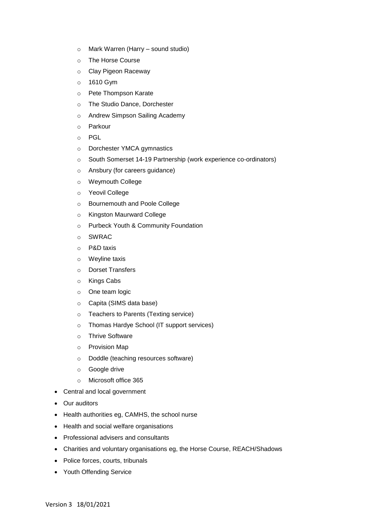- o Mark Warren (Harry sound studio)
- o The Horse Course
- o Clay Pigeon Raceway
- o 1610 Gym
- o Pete Thompson Karate
- o The Studio Dance, Dorchester
- o Andrew Simpson Sailing Academy
- o Parkour
- o PGL
- o Dorchester YMCA gymnastics
- o South Somerset 14-19 Partnership (work experience co-ordinators)
- o Ansbury (for careers guidance)
- o Weymouth College
- o Yeovil College
- o Bournemouth and Poole College
- o Kingston Maurward College
- o Purbeck Youth & Community Foundation
- o SWRAC
- o P&D taxis
- o Weyline taxis
- o Dorset Transfers
- o Kings Cabs
- o One team logic
- o Capita (SIMS data base)
- o Teachers to Parents (Texting service)
- o Thomas Hardye School (IT support services)
- o Thrive Software
- o Provision Map
- o Doddle (teaching resources software)
- o Google drive
- o Microsoft office 365
- Central and local government
- Our auditors
- Health authorities eg, CAMHS, the school nurse
- Health and social welfare organisations
- Professional advisers and consultants
- Charities and voluntary organisations eg, the Horse Course, REACH/Shadows
- Police forces, courts, tribunals
- Youth Offending Service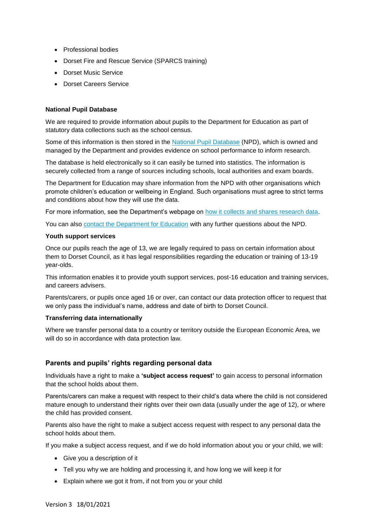- Professional bodies
- Dorset Fire and Rescue Service (SPARCS training)
- Dorset Music Service
- Dorset Careers Service

#### **National Pupil Database**

We are required to provide information about pupils to the Department for Education as part of statutory data collections such as the school census.

Some of this information is then stored in the [National Pupil Database](https://www.gov.uk/government/publications/national-pupil-database-user-guide-and-supporting-information) (NPD), which is owned and managed by the Department and provides evidence on school performance to inform research.

The database is held electronically so it can easily be turned into statistics. The information is securely collected from a range of sources including schools, local authorities and exam boards.

The Department for Education may share information from the NPD with other organisations which promote children's education or wellbeing in England. Such organisations must agree to strict terms and conditions about how they will use the data.

For more information, see the Department's webpage on [how it collects and shares research data.](https://www.gov.uk/data-protection-how-we-collect-and-share-research-data)

You can also [contact the Department for Education](https://www.gov.uk/contact-dfe) with any further questions about the NPD.

#### **Youth support services**

Once our pupils reach the age of 13, we are legally required to pass on certain information about them to Dorset Council, as it has legal responsibilities regarding the education or training of 13-19 year-olds.

This information enables it to provide youth support services, post-16 education and training services, and careers advisers.

Parents/carers, or pupils once aged 16 or over, can contact our data protection officer to request that we only pass the individual's name, address and date of birth to Dorset Council.

#### **Transferring data internationally**

Where we transfer personal data to a country or territory outside the European Economic Area, we will do so in accordance with data protection law.

#### **Parents and pupils' rights regarding personal data**

Individuals have a right to make a **'subject access request'** to gain access to personal information that the school holds about them.

Parents/carers can make a request with respect to their child's data where the child is not considered mature enough to understand their rights over their own data (usually under the age of 12), or where the child has provided consent.

Parents also have the right to make a subject access request with respect to any personal data the school holds about them.

If you make a subject access request, and if we do hold information about you or your child, we will:

- Give you a description of it
- Tell you why we are holding and processing it, and how long we will keep it for
- Explain where we got it from, if not from you or your child